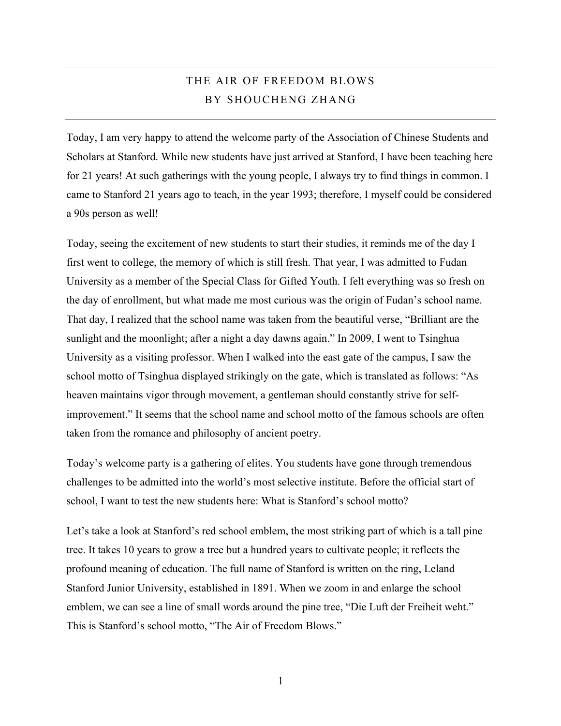## THE AIR OF FREEDOM BLOWS BY SHOUCHENG ZHANG

Today, I am very happy to attend the welcome party of the Association of Chinese Students and Scholars at Stanford. While new students have just arrived at Stanford, I have been teaching here for 21 years! At such gatherings with the young people, I always try to find things in common. I came to Stanford 21 years ago to teach, in the year 1993; therefore, I myself could be considered a 90s person as well!

Today, seeing the excitement of new students to start their studies, it reminds me of the day I first went to college, the memory of which is still fresh. That year, I was admitted to Fudan University as a member of the Special Class for Gifted Youth. I felt everything was so fresh on the day of enrollment, but what made me most curious was the origin of Fudan's school name. That day, I realized that the school name was taken from the beautiful verse, "Brilliant are the sunlight and the moonlight; after a night a day dawns again." In 2009, I went to Tsinghua University as a visiting professor. When I walked into the east gate of the campus, I saw the school motto of Tsinghua displayed strikingly on the gate, which is translated as follows: "As heaven maintains vigor through movement, a gentleman should constantly strive for selfimprovement." It seems that the school name and school motto of the famous schools are often taken from the romance and philosophy of ancient poetry.

Today's welcome party is a gathering of elites. You students have gone through tremendous challenges to be admitted into the world's most selective institute. Before the official start of school, I want to test the new students here: What is Stanford's school motto?

Let's take a look at Stanford's red school emblem, the most striking part of which is a tall pine tree. It takes 10 years to grow a tree but a hundred years to cultivate people; it reflects the profound meaning of education. The full name of Stanford is written on the ring, Leland Stanford Junior University, established in 1891. When we zoom in and enlarge the school emblem, we can see a line of small words around the pine tree, "Die Luft der Freiheit weht." This is Stanford's school motto, "The Air of Freedom Blows."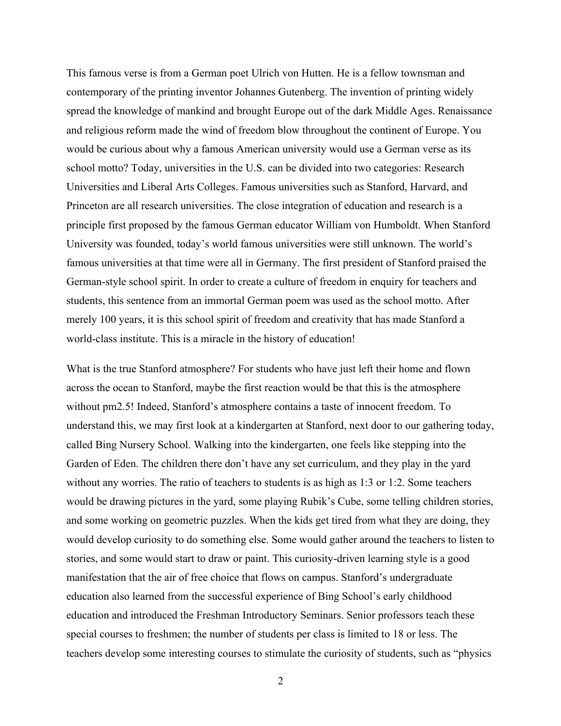This famous verse is from a German poet Ulrich von Hutten. He is a fellow townsman and contemporary of the printing inventor Johannes Gutenberg. The invention of printing widely spread the knowledge of mankind and brought Europe out of the dark Middle Ages. Renaissance and religious reform made the wind of freedom blow throughout the continent of Europe. You would be curious about why a famous American university would use a German verse as its school motto? Today, universities in the U.S. can be divided into two categories: Research Universities and Liberal Arts Colleges. Famous universities such as Stanford, Harvard, and Princeton are all research universities. The close integration of education and research is a principle first proposed by the famous German educator William von Humboldt. When Stanford University was founded, today's world famous universities were still unknown. The world's famous universities at that time were all in Germany. The first president of Stanford praised the German-style school spirit. In order to create a culture of freedom in enquiry for teachers and students, this sentence from an immortal German poem was used as the school motto. After merely 100 years, it is this school spirit of freedom and creativity that has made Stanford a world-class institute. This is a miracle in the history of education!

What is the true Stanford atmosphere? For students who have just left their home and flown across the ocean to Stanford, maybe the first reaction would be that this is the atmosphere without pm2.5! Indeed, Stanford's atmosphere contains a taste of innocent freedom. To understand this, we may first look at a kindergarten at Stanford, next door to our gathering today, called Bing Nursery School. Walking into the kindergarten, one feels like stepping into the Garden of Eden. The children there don't have any set curriculum, and they play in the yard without any worries. The ratio of teachers to students is as high as 1:3 or 1:2. Some teachers would be drawing pictures in the yard, some playing Rubik's Cube, some telling children stories, and some working on geometric puzzles. When the kids get tired from what they are doing, they would develop curiosity to do something else. Some would gather around the teachers to listen to stories, and some would start to draw or paint. This curiosity-driven learning style is a good manifestation that the air of free choice that flows on campus. Stanford's undergraduate education also learned from the successful experience of Bing School's early childhood education and introduced the Freshman Introductory Seminars. Senior professors teach these special courses to freshmen; the number of students per class is limited to 18 or less. The teachers develop some interesting courses to stimulate the curiosity of students, such as "physics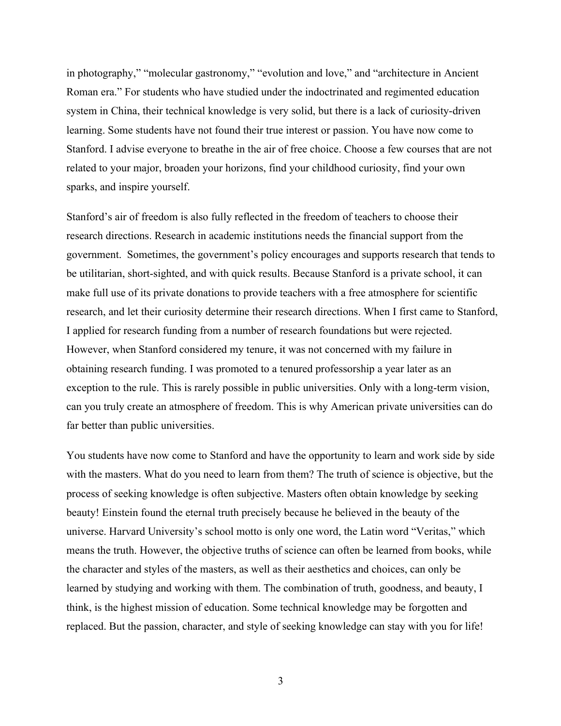in photography," "molecular gastronomy," "evolution and love," and "architecture in Ancient Roman era." For students who have studied under the indoctrinated and regimented education system in China, their technical knowledge is very solid, but there is a lack of curiosity-driven learning. Some students have not found their true interest or passion. You have now come to Stanford. I advise everyone to breathe in the air of free choice. Choose a few courses that are not related to your major, broaden your horizons, find your childhood curiosity, find your own sparks, and inspire yourself.

Stanford's air of freedom is also fully reflected in the freedom of teachers to choose their research directions. Research in academic institutions needs the financial support from the government. Sometimes, the government's policy encourages and supports research that tends to be utilitarian, short-sighted, and with quick results. Because Stanford is a private school, it can make full use of its private donations to provide teachers with a free atmosphere for scientific research, and let their curiosity determine their research directions. When I first came to Stanford, I applied for research funding from a number of research foundations but were rejected. However, when Stanford considered my tenure, it was not concerned with my failure in obtaining research funding. I was promoted to a tenured professorship a year later as an exception to the rule. This is rarely possible in public universities. Only with a long-term vision, can you truly create an atmosphere of freedom. This is why American private universities can do far better than public universities.

You students have now come to Stanford and have the opportunity to learn and work side by side with the masters. What do you need to learn from them? The truth of science is objective, but the process of seeking knowledge is often subjective. Masters often obtain knowledge by seeking beauty! Einstein found the eternal truth precisely because he believed in the beauty of the universe. Harvard University's school motto is only one word, the Latin word "Veritas," which means the truth. However, the objective truths of science can often be learned from books, while the character and styles of the masters, as well as their aesthetics and choices, can only be learned by studying and working with them. The combination of truth, goodness, and beauty, I think, is the highest mission of education. Some technical knowledge may be forgotten and replaced. But the passion, character, and style of seeking knowledge can stay with you for life!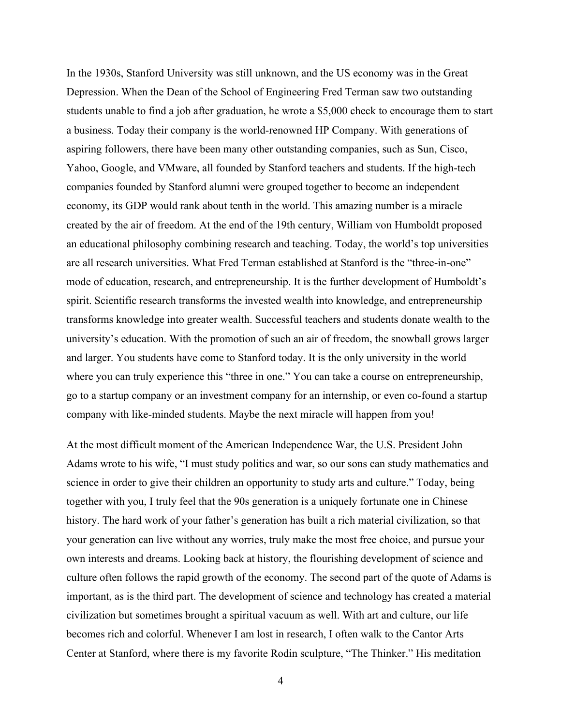In the 1930s, Stanford University was still unknown, and the US economy was in the Great Depression. When the Dean of the School of Engineering Fred Terman saw two outstanding students unable to find a job after graduation, he wrote a \$5,000 check to encourage them to start a business. Today their company is the world-renowned HP Company. With generations of aspiring followers, there have been many other outstanding companies, such as Sun, Cisco, Yahoo, Google, and VMware, all founded by Stanford teachers and students. If the high-tech companies founded by Stanford alumni were grouped together to become an independent economy, its GDP would rank about tenth in the world. This amazing number is a miracle created by the air of freedom. At the end of the 19th century, William von Humboldt proposed an educational philosophy combining research and teaching. Today, the world's top universities are all research universities. What Fred Terman established at Stanford is the "three-in-one" mode of education, research, and entrepreneurship. It is the further development of Humboldt's spirit. Scientific research transforms the invested wealth into knowledge, and entrepreneurship transforms knowledge into greater wealth. Successful teachers and students donate wealth to the university's education. With the promotion of such an air of freedom, the snowball grows larger and larger. You students have come to Stanford today. It is the only university in the world where you can truly experience this "three in one." You can take a course on entrepreneurship, go to a startup company or an investment company for an internship, or even co-found a startup company with like-minded students. Maybe the next miracle will happen from you!

At the most difficult moment of the American Independence War, the U.S. President John Adams wrote to his wife, "I must study politics and war, so our sons can study mathematics and science in order to give their children an opportunity to study arts and culture." Today, being together with you, I truly feel that the 90s generation is a uniquely fortunate one in Chinese history. The hard work of your father's generation has built a rich material civilization, so that your generation can live without any worries, truly make the most free choice, and pursue your own interests and dreams. Looking back at history, the flourishing development of science and culture often follows the rapid growth of the economy. The second part of the quote of Adams is important, as is the third part. The development of science and technology has created a material civilization but sometimes brought a spiritual vacuum as well. With art and culture, our life becomes rich and colorful. Whenever I am lost in research, I often walk to the Cantor Arts Center at Stanford, where there is my favorite Rodin sculpture, "The Thinker." His meditation